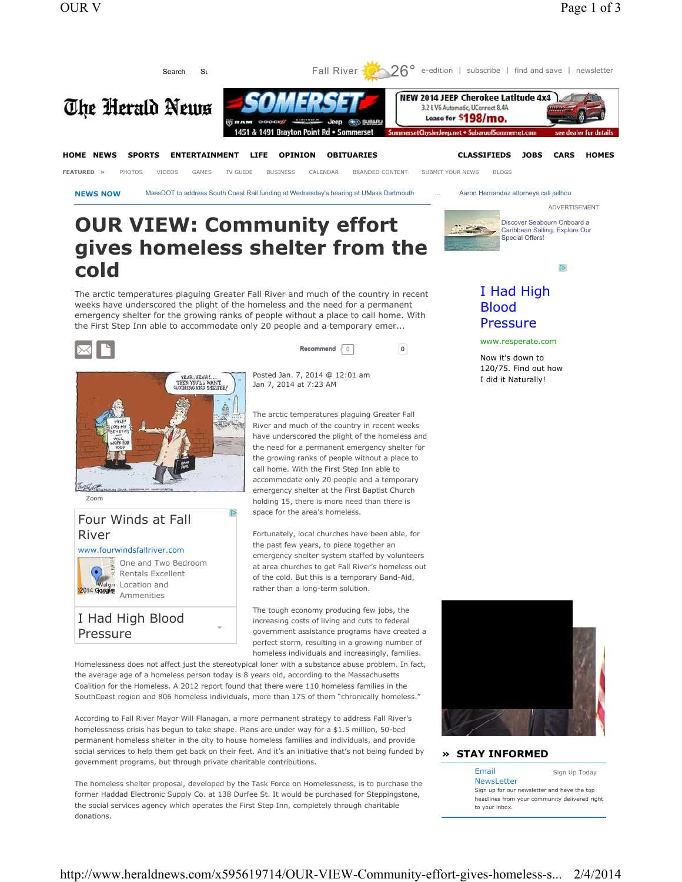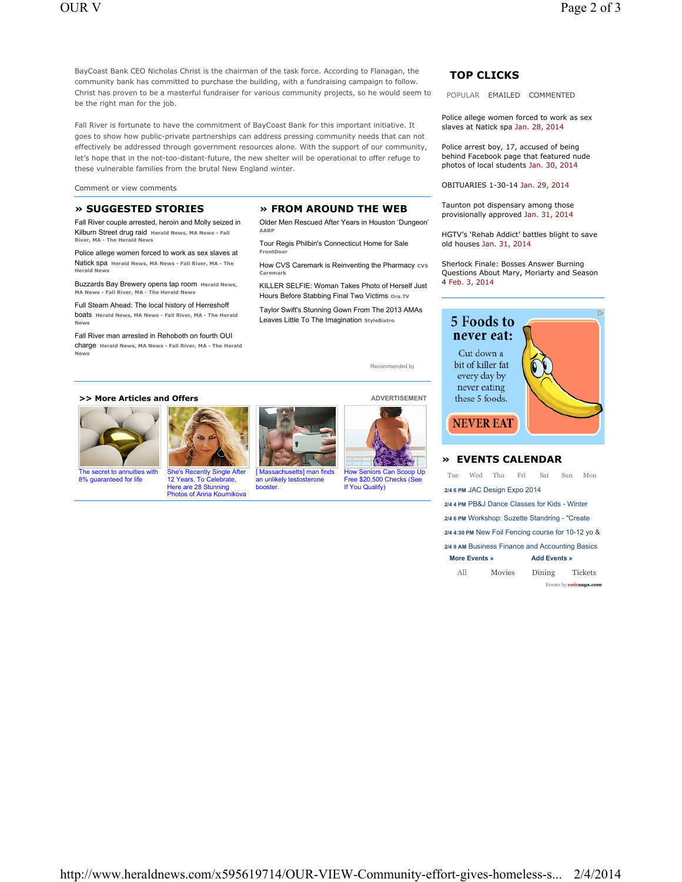BayCoast Bank CEO Nicholas Christ is the chairman of the task force. According to Flanagan, the community bank has committed to purchase the building, with a fundraising campaign to follow. Christ has proven to be a masterful fundraiser for various community projects, so he would seem to be the right man for the job.

Fall River is fortunate to have the commitment of BayCoast Bank for this important initiative. It goes to show how public-private partnerships can address pressing community needs that can not effectively be addressed through government resources alone. With the support of our community, let's hope that in the not-too-distant-future, the new shelter will be operational to offer refuge to these vulnerable families from the brutal New England winter.

Comment or view comments

### **» SUGGESTED STORIES**

Fall River couple arrested, heroin and Molly seized in Kilburn Street drug raid **Herald News, MA News - Fall River, MA - The Herald New** 

Police allege women forced to work as sex slaves at Natick spa **Herald News, MA News - Fall River, MA - The Herald Ne** 

Buzzards Bay Brewery opens tap room **Herald News, MA News - Fall River, MA - The Herald News**

Full Steam Ahead: The local history of Herreshoff boats **Herald News, MA News - Fall River, MA - The Herald News**

Fall River man arrested in Rehoboth on fourth OUI charge **Herald News, MA News - Fall River, MA - The Herald News**

# **» FROM AROUND THE WEB**

Older Men Rescued After Years in Houston 'Dungeon' **AARP**

Tour Regis Philbin's Connecticut Home for Sale **FrontDoor**

How CVS Caremark is Reinventing the Pharmacy cvs **Caremark**

KILLER SELFIE: Woman Takes Photo of Herself Just Hours Before Stabbing Final Two Victims **Ora.TV**

Taylor Swift's Stunning Gown From The 2013 AMAs Leaves Little To The Imagination **StyleBistro**

Recommended by

### **>> More Articles and Offers ADVERTISEMENT**



The secret to annuities with 8% guaranteed for life



Here are 28 Stunning





How Seniors Can Scoop Up Free \$20,500 Checks (See If You Qualify)

### **TOP CLICKS**

POPULAR EMAILED COMMENTED

Police allege women forced to work as sex slaves at Natick spa Jan. 28, 2014

Police arrest boy, 17, accused of being behind Facebook page that featured nude photos of local students Jan. 30, 2014

OBITUARIES 1-30-14 Jan. 29, 2014

Taunton pot dispensary among those provisionally approved Jan. 31, 2014

HGTV's 'Rehab Addict' battles blight to save old houses Jan. 31, 2014

Sherlock Finale: Bosses Answer Burning Questions About Mary, Moriarty and Season 4 Feb. 3, 2014



## **» EVENTS CALENDAR**

| Tue                                                | Wed Thu |        | Fri | Sat                 | <b>Sun</b> | Mon            |  |  |  |  |  |
|----------------------------------------------------|---------|--------|-----|---------------------|------------|----------------|--|--|--|--|--|
| 2/4 6 PM JAC Design Expo 2014                      |         |        |     |                     |            |                |  |  |  |  |  |
| 2/4 4 PM PB&J Dance Classes for Kids - Winter      |         |        |     |                     |            |                |  |  |  |  |  |
| 2/4 6 PM Workshop: Suzette Standring - "Create     |         |        |     |                     |            |                |  |  |  |  |  |
| 2/4 4:30 PM New Foil Fencing course for 10-12 yo & |         |        |     |                     |            |                |  |  |  |  |  |
| 2/49 AM Business Finance and Accounting Basics     |         |        |     |                     |            |                |  |  |  |  |  |
| <b>More Events »</b>                               |         |        |     | <b>Add Events »</b> |            |                |  |  |  |  |  |
| All                                                |         | Movies |     | Dining              |            | <b>Tickets</b> |  |  |  |  |  |
| Events by <b>eviesays.com</b>                      |         |        |     |                     |            |                |  |  |  |  |  |

http://www.heraldnews.com/x595619714/OUR-VIEW-Community-effort-gives-homeless-s... 2/4/2014